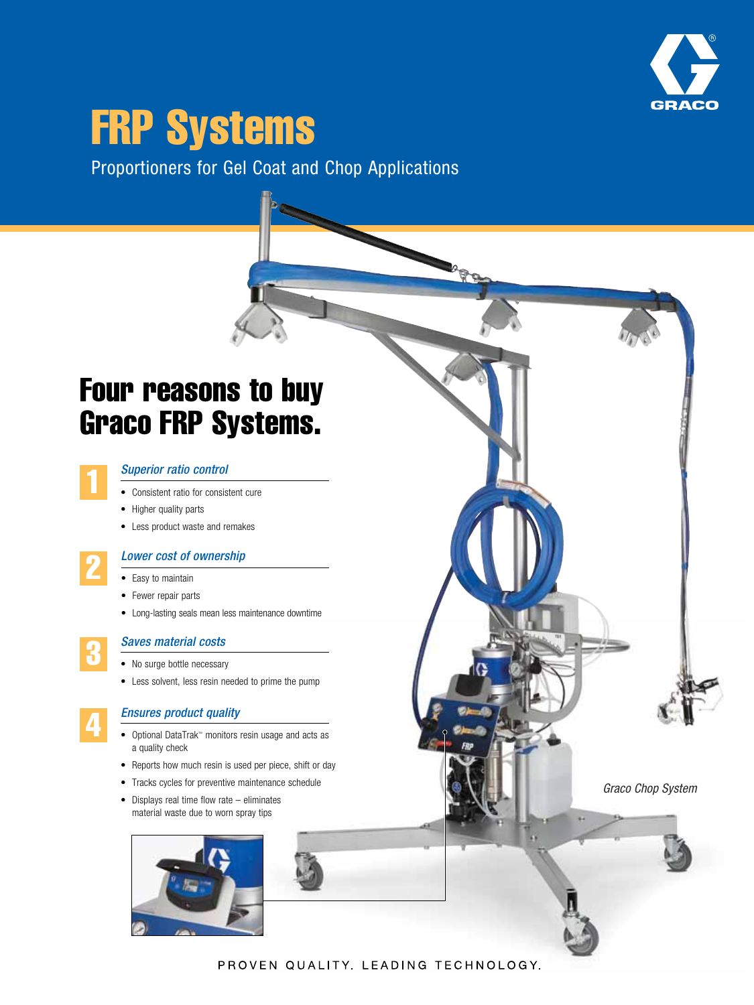

*Graco Chop System*

# FRP Systems

Proportioners for Gel Coat and Chop Applications

### Four reasons to buy Graco FRP Systems.

#### *Superior ratio control*

- Consistent ratio for consistent cure
- Higher quality parts
- Less product waste and remakes

### *Lower cost of ownership*

• Easy to maintain

2

4

3

1

- Fewer repair parts
- Long-lasting seals mean less maintenance downtime

### *Saves material costs*

- No surge bottle necessary
- Less solvent, less resin needed to prime the pump

#### *Ensures product quality*

- Optional DataTrak™ monitors resin usage and acts as a quality check
- Reports how much resin is used per piece, shift or day
- Tracks cycles for preventive maintenance schedule
- Displays real time flow rate eliminates material waste due to worn spray tips



PROVEN QUALITY. LEADING TECHNOLOGY.